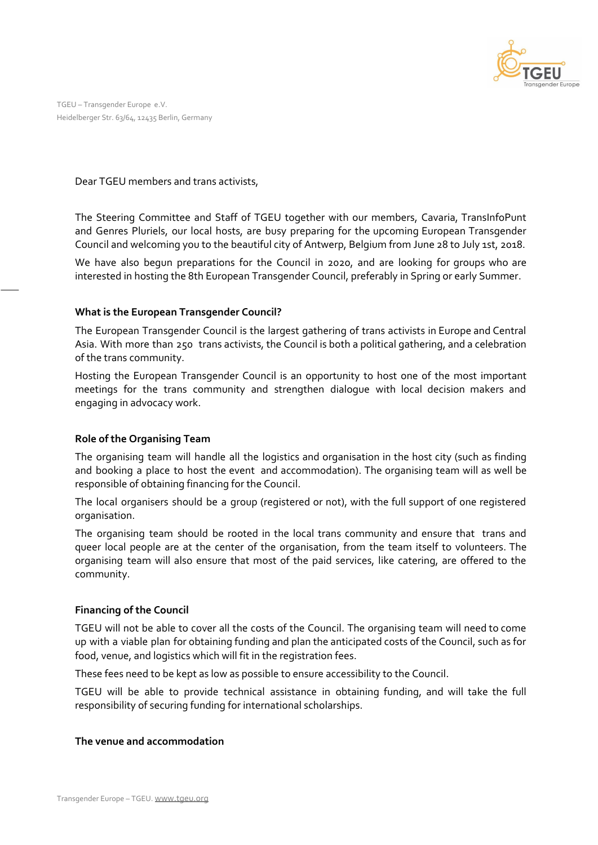

TGEU – Transgender Europe e.V. Heidelberger Str. 63/64, 12435 Berlin, Germany

Dear TGEU members and trans activists,

The Steering Committee and Staff of TGEU together with our members, Cavaria, TransInfoPunt and Genres Pluriels, our local hosts, are busy preparing for the upcoming European Transgender Council and welcoming you to the beautiful city of Antwerp, Belgium from June 28 to July 1st, 2018.

We have also begun preparations for the Council in 2020, and are looking for groups who are interested in hosting the 8th European Transgender Council, preferably in Spring or early Summer.

# **What is the European Transgender Council?**

The European Transgender Council is the largest gathering of trans activists in Europe and Central Asia. With more than 250 trans activists, the Council is both a political gathering, and a celebration of the trans community.

Hosting the European Transgender Council is an opportunity to host one of the most important meetings for the trans community and strengthen dialogue with local decision makers and engaging in advocacy work.

# **Role of the Organising Team**

The organising team will handle all the logistics and organisation in the host city (such as finding and booking a place to host the event and accommodation). The organising team will as well be responsible of obtaining financing for the Council.

The local organisers should be a group (registered or not), with the full support of one registered organisation.

The organising team should be rooted in the local trans community and ensure that trans and queer local people are at the center of the organisation, from the team itself to volunteers. The organising team will also ensure that most of the paid services, like catering, are offered to the community.

# **Financing of the Council**

TGEU will not be able to cover all the costs of the Council. The organising team will need to come up with a viable plan for obtaining funding and plan the anticipated costs of the Council, such as for food, venue, and logistics which will fit in the registration fees.

These fees need to be kept as low as possible to ensure accessibility to the Council.

TGEU will be able to provide technical assistance in obtaining funding, and will take the full responsibility of securing funding for international scholarships.

### **The venue and accommodation**